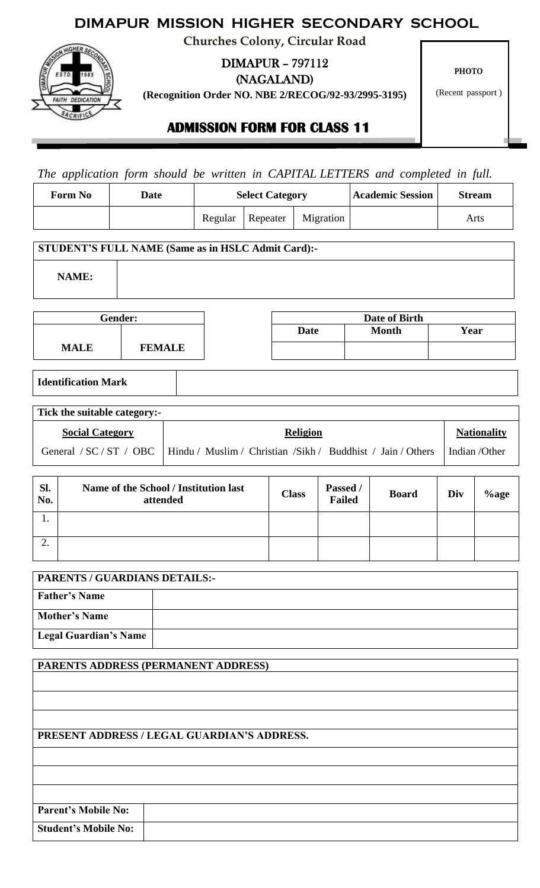# **DIMAPUR MISSION HIGHER SECONDARY SCHOOL**

**Churches Colony, Circular Road**



DIMAPUR – 797112

(NAGALAND)

**(Recognition Order NO. NBE 2/RECOG/92-93/2995-3195)**

**PHOTO**

(Recent passport )

## **ADMISSION FORM FOR CLASS 11**

*The application form should be written in CAPITAL LETTERS and completed in full.* 

| <b>Form No</b> | Date | <b>Select Category</b> |          | <b>Academic Session</b> | <b>Stream</b> |      |
|----------------|------|------------------------|----------|-------------------------|---------------|------|
|                |      | Regular                | Repeater | Migration               |               | Arts |

#### **STUDENT'S FULL NAME (Same as in HSLC Admit Card):-**

**NAME:**

|             | Gender:       | Date of Birth |              |      |
|-------------|---------------|---------------|--------------|------|
|             |               | <b>Date</b>   | <b>Month</b> | Year |
| <b>MALE</b> | <b>FEMALE</b> |               |              |      |

## **Identification Mark**

| Tick the suitable category:- |                                                                                       |                    |  |  |  |  |  |
|------------------------------|---------------------------------------------------------------------------------------|--------------------|--|--|--|--|--|
| <b>Social Category</b>       | <b>Religion</b>                                                                       | <b>Nationality</b> |  |  |  |  |  |
|                              | General / SC / ST / OBC   Hindu / Muslim / Christian /Sikh / Buddhist / Jain / Others | l Indian /Other    |  |  |  |  |  |

| Sl.<br>No. | Name of the School / Institution last<br>attended | <b>Class</b> | Passed /<br><b>Failed</b> | <b>Board</b> | Div | $%$ age |
|------------|---------------------------------------------------|--------------|---------------------------|--------------|-----|---------|
| . .        |                                                   |              |                           |              |     |         |
| ◠          |                                                   |              |                           |              |     |         |

| <b>PARENTS / GUARDIANS DETAILS:-</b> |  |  |  |  |
|--------------------------------------|--|--|--|--|
| <b>Father's Name</b>                 |  |  |  |  |
| <b>Mother's Name</b>                 |  |  |  |  |
| Legal Guardian's Name                |  |  |  |  |

## **PARENTS ADDRESS (PERMANENT ADDRESS)**

## **PRESENT ADDRESS / LEGAL GUARDIAN'S ADDRESS.**

**Parent's Mobile No:**

**Student's Mobile No:**